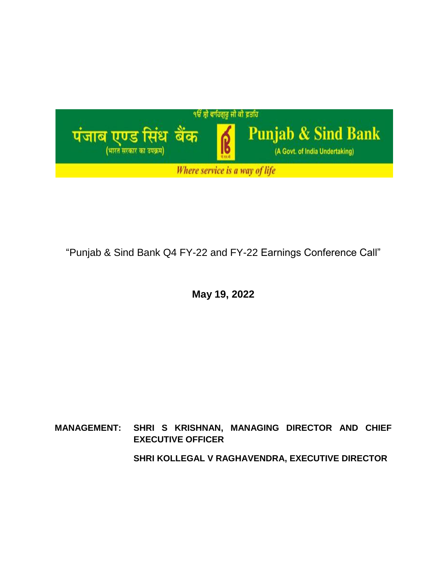

"Punjab & Sind Bank Q4 FY-22 and FY-22 Earnings Conference Call"

**May 19, 2022**

# **MANAGEMENT: SHRI S KRISHNAN, MANAGING DIRECTOR AND CHIEF EXECUTIVE OFFICER SHRI KOLLEGAL V RAGHAVENDRA, EXECUTIVE DIRECTOR**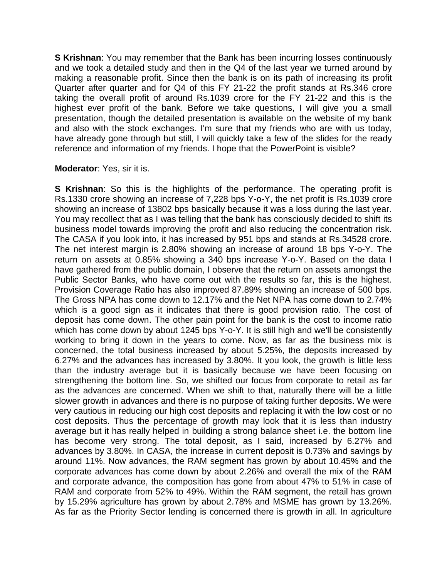**S Krishnan**: You may remember that the Bank has been incurring losses continuously and we took a detailed study and then in the Q4 of the last year we turned around by making a reasonable profit. Since then the bank is on its path of increasing its profit Quarter after quarter and for Q4 of this FY 21-22 the profit stands at Rs.346 crore taking the overall profit of around Rs.1039 crore for the FY 21-22 and this is the highest ever profit of the bank. Before we take questions, I will give you a small presentation, though the detailed presentation is available on the website of my bank and also with the stock exchanges. I'm sure that my friends who are with us today, have already gone through but still, I will quickly take a few of the slides for the ready reference and information of my friends. I hope that the PowerPoint is visible?

#### **Moderator**: Yes, sir it is.

**S Krishnan**: So this is the highlights of the performance. The operating profit is Rs.1330 crore showing an increase of 7,228 bps Y-o-Y, the net profit is Rs.1039 crore showing an increase of 13802 bps basically because it was a loss during the last year. You may recollect that as I was telling that the bank has consciously decided to shift its business model towards improving the profit and also reducing the concentration risk. The CASA if you look into, it has increased by 951 bps and stands at Rs.34528 crore. The net interest margin is 2.80% showing an increase of around 18 bps Y-o-Y. The return on assets at 0.85% showing a 340 bps increase Y-o-Y. Based on the data I have gathered from the public domain, I observe that the return on assets amongst the Public Sector Banks, who have come out with the results so far, this is the highest. Provision Coverage Ratio has also improved 87.89% showing an increase of 500 bps. The Gross NPA has come down to 12.17% and the Net NPA has come down to 2.74% which is a good sign as it indicates that there is good provision ratio. The cost of deposit has come down. The other pain point for the bank is the cost to income ratio which has come down by about 1245 bps Y-o-Y. It is still high and we'll be consistently working to bring it down in the years to come. Now, as far as the business mix is concerned, the total business increased by about 5.25%, the deposits increased by 6.27% and the advances has increased by 3.80%. It you look, the growth is little less than the industry average but it is basically because we have been focusing on strengthening the bottom line. So, we shifted our focus from corporate to retail as far as the advances are concerned. When we shift to that, naturally there will be a little slower growth in advances and there is no purpose of taking further deposits. We were very cautious in reducing our high cost deposits and replacing it with the low cost or no cost deposits. Thus the percentage of growth may look that it is less than industry average but it has really helped in building a strong balance sheet i.e. the bottom line has become very strong. The total deposit, as I said, increased by 6.27% and advances by 3.80%. In CASA, the increase in current deposit is 0.73% and savings by around 11%. Now advances, the RAM segment has grown by about 10.45% and the corporate advances has come down by about 2.26% and overall the mix of the RAM and corporate advance, the composition has gone from about 47% to 51% in case of RAM and corporate from 52% to 49%. Within the RAM segment, the retail has grown by 15.29% agriculture has grown by about 2.78% and MSME has grown by 13.26%. As far as the Priority Sector lending is concerned there is growth in all. In agriculture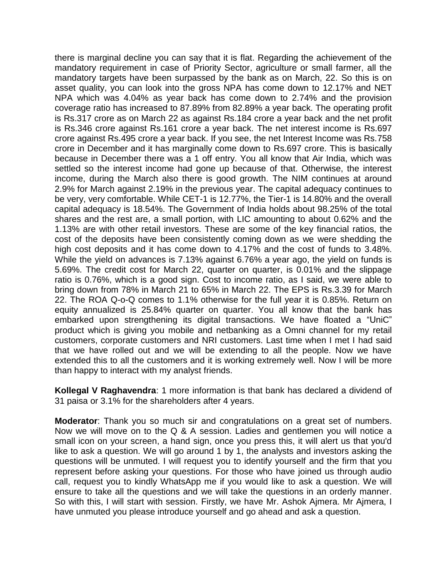there is marginal decline you can say that it is flat. Regarding the achievement of the mandatory requirement in case of Priority Sector, agriculture or small farmer, all the mandatory targets have been surpassed by the bank as on March, 22. So this is on asset quality, you can look into the gross NPA has come down to 12.17% and NET NPA which was 4.04% as year back has come down to 2.74% and the provision coverage ratio has increased to 87.89% from 82.89% a year back. The operating profit is Rs.317 crore as on March 22 as against Rs.184 crore a year back and the net profit is Rs.346 crore against Rs.161 crore a year back. The net interest income is Rs.697 crore against Rs.495 crore a year back. If you see, the net Interest Income was Rs.758 crore in December and it has marginally come down to Rs.697 crore. This is basically because in December there was a 1 off entry. You all know that Air India, which was settled so the interest income had gone up because of that. Otherwise, the interest income, during the March also there is good growth. The NIM continues at around 2.9% for March against 2.19% in the previous year. The capital adequacy continues to be very, very comfortable. While CET-1 is 12.77%, the Tier-1 is 14.80% and the overall capital adequacy is 18.54%. The Government of India holds about 98.25% of the total shares and the rest are, a small portion, with LIC amounting to about 0.62% and the 1.13% are with other retail investors. These are some of the key financial ratios, the cost of the deposits have been consistently coming down as we were shedding the high cost deposits and it has come down to 4.17% and the cost of funds to 3.48%. While the yield on advances is 7.13% against 6.76% a year ago, the yield on funds is 5.69%. The credit cost for March 22, quarter on quarter, is 0.01% and the slippage ratio is 0.76%, which is a good sign. Cost to income ratio, as I said, we were able to bring down from 78% in March 21 to 65% in March 22. The EPS is Rs.3.39 for March 22. The ROA Q-o-Q comes to 1.1% otherwise for the full year it is 0.85%. Return on equity annualized is 25.84% quarter on quarter. You all know that the bank has embarked upon strengthening its digital transactions. We have floated a "UniC" product which is giving you mobile and netbanking as a Omni channel for my retail customers, corporate customers and NRI customers. Last time when I met I had said that we have rolled out and we will be extending to all the people. Now we have extended this to all the customers and it is working extremely well. Now I will be more than happy to interact with my analyst friends.

**Kollegal V Raghavendra**: 1 more information is that bank has declared a dividend of 31 paisa or 3.1% for the shareholders after 4 years.

**Moderator**: Thank you so much sir and congratulations on a great set of numbers. Now we will move on to the Q & A session. Ladies and gentlemen you will notice a small icon on your screen, a hand sign, once you press this, it will alert us that you'd like to ask a question. We will go around 1 by 1, the analysts and investors asking the questions will be unmuted. I will request you to identify yourself and the firm that you represent before asking your questions. For those who have joined us through audio call, request you to kindly WhatsApp me if you would like to ask a question. We will ensure to take all the questions and we will take the questions in an orderly manner. So with this, I will start with session. Firstly, we have Mr. Ashok Ajmera. Mr Ajmera, I have unmuted you please introduce yourself and go ahead and ask a question.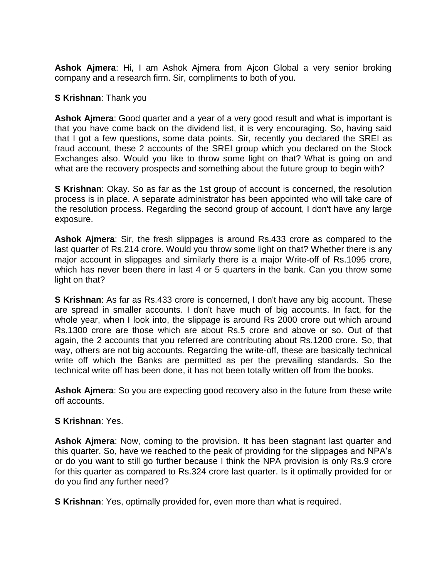**Ashok Ajmera**: Hi, I am Ashok Ajmera from Ajcon Global a very senior broking company and a research firm. Sir, compliments to both of you.

#### **S Krishnan**: Thank you

**Ashok Ajmera**: Good quarter and a year of a very good result and what is important is that you have come back on the dividend list, it is very encouraging. So, having said that I got a few questions, some data points. Sir, recently you declared the SREI as fraud account, these 2 accounts of the SREI group which you declared on the Stock Exchanges also. Would you like to throw some light on that? What is going on and what are the recovery prospects and something about the future group to begin with?

**S Krishnan**: Okay. So as far as the 1st group of account is concerned, the resolution process is in place. A separate administrator has been appointed who will take care of the resolution process. Regarding the second group of account, I don't have any large exposure.

**Ashok Ajmera**: Sir, the fresh slippages is around Rs.433 crore as compared to the last quarter of Rs.214 crore. Would you throw some light on that? Whether there is any major account in slippages and similarly there is a major Write-off of Rs.1095 crore, which has never been there in last 4 or 5 quarters in the bank. Can you throw some light on that?

**S Krishnan**: As far as Rs.433 crore is concerned, I don't have any big account. These are spread in smaller accounts. I don't have much of big accounts. In fact, for the whole year, when I look into, the slippage is around Rs 2000 crore out which around Rs.1300 crore are those which are about Rs.5 crore and above or so. Out of that again, the 2 accounts that you referred are contributing about Rs.1200 crore. So, that way, others are not big accounts. Regarding the write-off, these are basically technical write off which the Banks are permitted as per the prevailing standards. So the technical write off has been done, it has not been totally written off from the books.

**Ashok Ajmera**: So you are expecting good recovery also in the future from these write off accounts.

## **S Krishnan**: Yes.

**Ashok Ajmera**: Now, coming to the provision. It has been stagnant last quarter and this quarter. So, have we reached to the peak of providing for the slippages and NPA's or do you want to still go further because I think the NPA provision is only Rs.9 crore for this quarter as compared to Rs.324 crore last quarter. Is it optimally provided for or do you find any further need?

**S Krishnan**: Yes, optimally provided for, even more than what is required.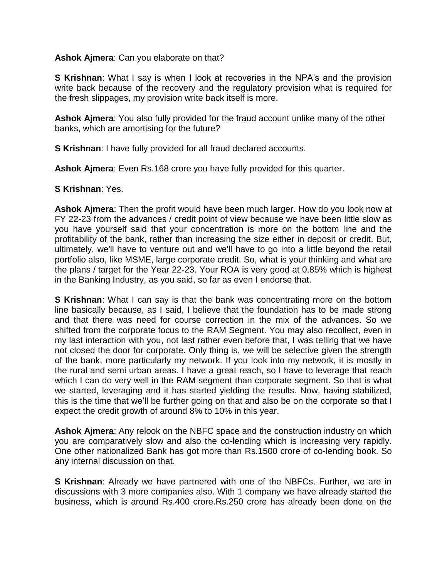#### **Ashok Ajmera**: Can you elaborate on that?

**S Krishnan**: What I say is when I look at recoveries in the NPA's and the provision write back because of the recovery and the regulatory provision what is required for the fresh slippages, my provision write back itself is more.

**Ashok Ajmera**: You also fully provided for the fraud account unlike many of the other banks, which are amortising for the future?

**S Krishnan**: I have fully provided for all fraud declared accounts.

**Ashok Ajmera**: Even Rs.168 crore you have fully provided for this quarter.

## **S Krishnan**: Yes.

**Ashok Ajmera**: Then the profit would have been much larger. How do you look now at FY 22-23 from the advances / credit point of view because we have been little slow as you have yourself said that your concentration is more on the bottom line and the profitability of the bank, rather than increasing the size either in deposit or credit. But, ultimately, we'll have to venture out and we'll have to go into a little beyond the retail portfolio also, like MSME, large corporate credit. So, what is your thinking and what are the plans / target for the Year 22-23. Your ROA is very good at 0.85% which is highest in the Banking Industry, as you said, so far as even I endorse that.

**S Krishnan**: What I can say is that the bank was concentrating more on the bottom line basically because, as I said, I believe that the foundation has to be made strong and that there was need for course correction in the mix of the advances. So we shifted from the corporate focus to the RAM Segment. You may also recollect, even in my last interaction with you, not last rather even before that, I was telling that we have not closed the door for corporate. Only thing is, we will be selective given the strength of the bank, more particularly my network. If you look into my network, it is mostly in the rural and semi urban areas. I have a great reach, so I have to leverage that reach which I can do very well in the RAM segment than corporate segment. So that is what we started, leveraging and it has started yielding the results. Now, having stabilized, this is the time that we'll be further going on that and also be on the corporate so that I expect the credit growth of around 8% to 10% in this year.

**Ashok Ajmera**: Any relook on the NBFC space and the construction industry on which you are comparatively slow and also the co-lending which is increasing very rapidly. One other nationalized Bank has got more than Rs.1500 crore of co-lending book. So any internal discussion on that.

**S Krishnan**: Already we have partnered with one of the NBFCs. Further, we are in discussions with 3 more companies also. With 1 company we have already started the business, which is around Rs.400 crore.Rs.250 crore has already been done on the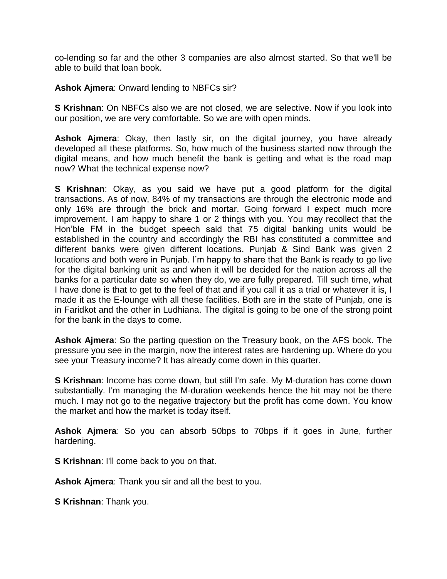co-lending so far and the other 3 companies are also almost started. So that we'll be able to build that loan book.

#### **Ashok Ajmera**: Onward lending to NBFCs sir?

**S Krishnan**: On NBFCs also we are not closed, we are selective. Now if you look into our position, we are very comfortable. So we are with open minds.

**Ashok Ajmera**: Okay, then lastly sir, on the digital journey, you have already developed all these platforms. So, how much of the business started now through the digital means, and how much benefit the bank is getting and what is the road map now? What the technical expense now?

**S Krishnan**: Okay, as you said we have put a good platform for the digital transactions. As of now, 84% of my transactions are through the electronic mode and only 16% are through the brick and mortar. Going forward I expect much more improvement. I am happy to share 1 or 2 things with you. You may recollect that the Hon'ble FM in the budget speech said that 75 digital banking units would be established in the country and accordingly the RBI has constituted a committee and different banks were given different locations. Punjab & Sind Bank was given 2 locations and both were in Punjab. I'm happy to share that the Bank is ready to go live for the digital banking unit as and when it will be decided for the nation across all the banks for a particular date so when they do, we are fully prepared. Till such time, what I have done is that to get to the feel of that and if you call it as a trial or whatever it is, I made it as the E-lounge with all these facilities. Both are in the state of Punjab, one is in Faridkot and the other in Ludhiana. The digital is going to be one of the strong point for the bank in the days to come.

**Ashok Ajmera**: So the parting question on the Treasury book, on the AFS book. The pressure you see in the margin, now the interest rates are hardening up. Where do you see your Treasury income? It has already come down in this quarter.

**S Krishnan**: Income has come down, but still I'm safe. My M-duration has come down substantially. I'm managing the M-duration weekends hence the hit may not be there much. I may not go to the negative trajectory but the profit has come down. You know the market and how the market is today itself.

**Ashok Ajmera**: So you can absorb 50bps to 70bps if it goes in June, further hardening.

**S Krishnan**: I'll come back to you on that.

**Ashok Ajmera**: Thank you sir and all the best to you.

**S Krishnan**: Thank you.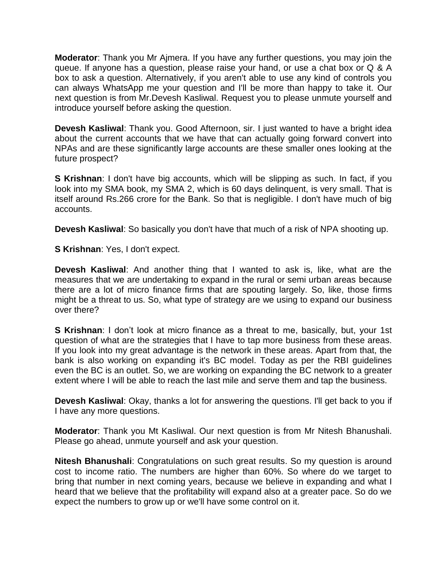**Moderator**: Thank you Mr Ajmera. If you have any further questions, you may join the queue. If anyone has a question, please raise your hand, or use a chat box or Q & A box to ask a question. Alternatively, if you aren't able to use any kind of controls you can always WhatsApp me your question and I'll be more than happy to take it. Our next question is from Mr.Devesh Kasliwal. Request you to please unmute yourself and introduce yourself before asking the question.

**Devesh Kasliwal**: Thank you. Good Afternoon, sir. I just wanted to have a bright idea about the current accounts that we have that can actually going forward convert into NPAs and are these significantly large accounts are these smaller ones looking at the future prospect?

**S Krishnan**: I don't have big accounts, which will be slipping as such. In fact, if you look into my SMA book, my SMA 2, which is 60 days delinquent, is very small. That is itself around Rs.266 crore for the Bank. So that is negligible. I don't have much of big accounts.

**Devesh Kasliwal**: So basically you don't have that much of a risk of NPA shooting up.

**S Krishnan**: Yes, I don't expect.

**Devesh Kasliwal**: And another thing that I wanted to ask is, like, what are the measures that we are undertaking to expand in the rural or semi urban areas because there are a lot of micro finance firms that are spouting largely. So, like, those firms might be a threat to us. So, what type of strategy are we using to expand our business over there?

**S Krishnan**: I don't look at micro finance as a threat to me, basically, but, your 1st question of what are the strategies that I have to tap more business from these areas. If you look into my great advantage is the network in these areas. Apart from that, the bank is also working on expanding it's BC model. Today as per the RBI guidelines even the BC is an outlet. So, we are working on expanding the BC network to a greater extent where I will be able to reach the last mile and serve them and tap the business.

**Devesh Kasliwal**: Okay, thanks a lot for answering the questions. I'll get back to you if I have any more questions.

**Moderator**: Thank you Mt Kasliwal. Our next question is from Mr Nitesh Bhanushali. Please go ahead, unmute yourself and ask your question.

**Nitesh Bhanushali**: Congratulations on such great results. So my question is around cost to income ratio. The numbers are higher than 60%. So where do we target to bring that number in next coming years, because we believe in expanding and what I heard that we believe that the profitability will expand also at a greater pace. So do we expect the numbers to grow up or we'll have some control on it.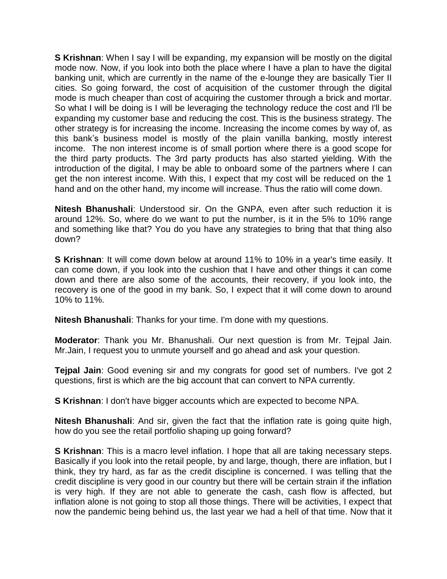**S Krishnan**: When I say I will be expanding, my expansion will be mostly on the digital mode now. Now, if you look into both the place where I have a plan to have the digital banking unit, which are currently in the name of the e-lounge they are basically Tier II cities. So going forward, the cost of acquisition of the customer through the digital mode is much cheaper than cost of acquiring the customer through a brick and mortar. So what I will be doing is I will be leveraging the technology reduce the cost and I'll be expanding my customer base and reducing the cost. This is the business strategy. The other strategy is for increasing the income. Increasing the income comes by way of, as this bank's business model is mostly of the plain vanilla banking, mostly interest income. The non interest income is of small portion where there is a good scope for the third party products. The 3rd party products has also started yielding. With the introduction of the digital, I may be able to onboard some of the partners where I can get the non interest income. With this, I expect that my cost will be reduced on the 1 hand and on the other hand, my income will increase. Thus the ratio will come down.

**Nitesh Bhanushali**: Understood sir. On the GNPA, even after such reduction it is around 12%. So, where do we want to put the number, is it in the 5% to 10% range and something like that? You do you have any strategies to bring that that thing also down?

**S Krishnan**: It will come down below at around 11% to 10% in a year's time easily. It can come down, if you look into the cushion that I have and other things it can come down and there are also some of the accounts, their recovery, if you look into, the recovery is one of the good in my bank. So, I expect that it will come down to around 10% to 11%.

**Nitesh Bhanushali**: Thanks for your time. I'm done with my questions.

**Moderator**: Thank you Mr. Bhanushali. Our next question is from Mr. Tejpal Jain. Mr.Jain, I request you to unmute yourself and go ahead and ask your question.

**Tejpal Jain**: Good evening sir and my congrats for good set of numbers. I've got 2 questions, first is which are the big account that can convert to NPA currently.

**S Krishnan**: I don't have bigger accounts which are expected to become NPA.

**Nitesh Bhanushali**: And sir, given the fact that the inflation rate is going quite high, how do you see the retail portfolio shaping up going forward?

**S Krishnan**: This is a macro level inflation. I hope that all are taking necessary steps. Basically if you look into the retail people, by and large, though, there are inflation, but I think, they try hard, as far as the credit discipline is concerned. I was telling that the credit discipline is very good in our country but there will be certain strain if the inflation is very high. If they are not able to generate the cash, cash flow is affected, but inflation alone is not going to stop all those things. There will be activities, I expect that now the pandemic being behind us, the last year we had a hell of that time. Now that it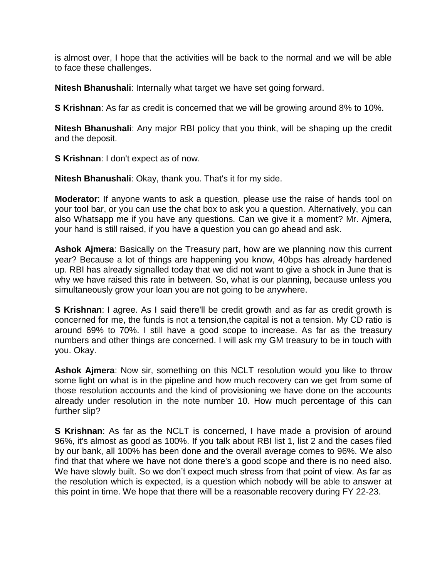is almost over, I hope that the activities will be back to the normal and we will be able to face these challenges.

**Nitesh Bhanushali**: Internally what target we have set going forward.

**S Krishnan**: As far as credit is concerned that we will be growing around 8% to 10%.

**Nitesh Bhanushali**: Any major RBI policy that you think, will be shaping up the credit and the deposit.

**S Krishnan**: I don't expect as of now.

**Nitesh Bhanushali**: Okay, thank you. That's it for my side.

**Moderator**: If anyone wants to ask a question, please use the raise of hands tool on your tool bar, or you can use the chat box to ask you a question. Alternatively, you can also Whatsapp me if you have any questions. Can we give it a moment? Mr. Ajmera, your hand is still raised, if you have a question you can go ahead and ask.

**Ashok Ajmera**: Basically on the Treasury part, how are we planning now this current year? Because a lot of things are happening you know, 40bps has already hardened up. RBI has already signalled today that we did not want to give a shock in June that is why we have raised this rate in between. So, what is our planning, because unless you simultaneously grow your loan you are not going to be anywhere.

**S Krishnan**: I agree. As I said there'll be credit growth and as far as credit growth is concerned for me, the funds is not a tension,the capital is not a tension. My CD ratio is around 69% to 70%. I still have a good scope to increase. As far as the treasury numbers and other things are concerned. I will ask my GM treasury to be in touch with you. Okay.

**Ashok Ajmera**: Now sir, something on this NCLT resolution would you like to throw some light on what is in the pipeline and how much recovery can we get from some of those resolution accounts and the kind of provisioning we have done on the accounts already under resolution in the note number 10. How much percentage of this can further slip?

**S Krishnan**: As far as the NCLT is concerned, I have made a provision of around 96%, it's almost as good as 100%. If you talk about RBI list 1, list 2 and the cases filed by our bank, all 100% has been done and the overall average comes to 96%. We also find that that where we have not done there's a good scope and there is no need also. We have slowly built. So we don't expect much stress from that point of view. As far as the resolution which is expected, is a question which nobody will be able to answer at this point in time. We hope that there will be a reasonable recovery during FY 22-23.